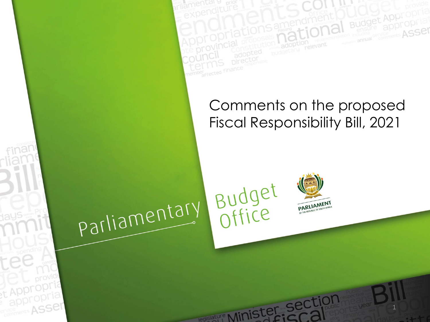

**Budge** 

**ASSE** 

parliamentary



Budget

slature Minister

1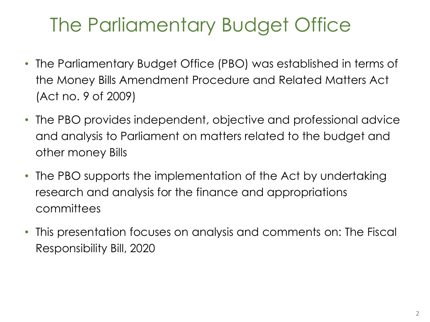### The Parliamentary Budget Office

- The Parliamentary Budget Office (PBO) was established in terms of the Money Bills Amendment Procedure and Related Matters Act (Act no. 9 of 2009)
- The PBO provides independent, objective and professional advice and analysis to Parliament on matters related to the budget and other money Bills
- The PBO supports the implementation of the Act by undertaking research and analysis for the finance and appropriations committees
- This presentation focuses on analysis and comments on: The Fiscal Responsibility Bill, 2020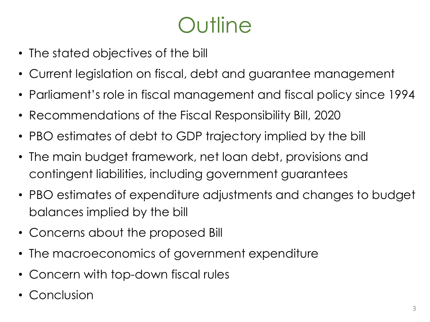# Outline

- The stated objectives of the bill
- Current legislation on fiscal, debt and guarantee management
- Parliament's role in fiscal management and fiscal policy since 1994
- Recommendations of the Fiscal Responsibility Bill, 2020
- PBO estimates of debt to GDP trajectory implied by the bill
- The main budget framework, net loan debt, provisions and contingent liabilities, including government guarantees
- PBO estimates of expenditure adjustments and changes to budget balances implied by the bill
- Concerns about the proposed Bill
- The macroeconomics of government expenditure
- Concern with top-down fiscal rules
- Conclusion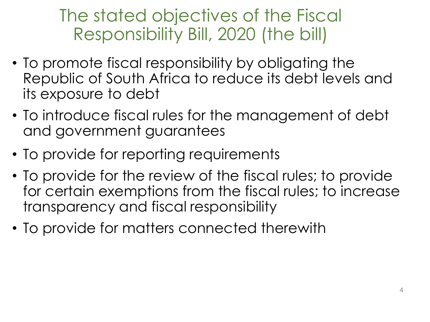### The stated objectives of the Fiscal Responsibility Bill, 2020 (the bill)

- To promote fiscal responsibility by obligating the Republic of South Africa to reduce its debt levels and its exposure to debt
- To introduce fiscal rules for the management of debt and government guarantees
- To provide for reporting requirements
- To provide for the review of the fiscal rules; to provide for certain exemptions from the fiscal rules; to increase transparency and fiscal responsibility
- To provide for matters connected therewith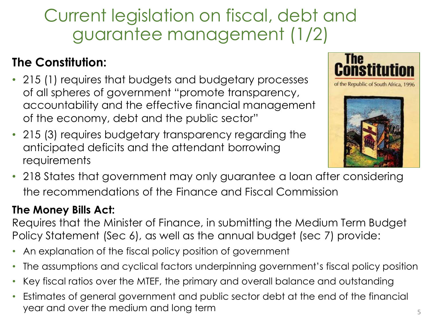### Current legislation on fiscal, debt and guarantee management (1/2)

#### **The Constitution:**

- 215 (1) requires that budgets and budgetary processes of all spheres of government "promote transparency, accountability and the effective financial management of the economy, debt and the public sector"
- 215 (3) requires budgetary transparency regarding the anticipated deficits and the attendant borrowing requirements





• 218 States that government may only guarantee a loan after considering the recommendations of the Finance and Fiscal Commission

#### **The Money Bills Act:**

Requires that the Minister of Finance, in submitting the Medium Term Budget Policy Statement (Sec 6), as well as the annual budget (sec 7) provide:

- An explanation of the fiscal policy position of government
- The assumptions and cyclical factors underpinning government's fiscal policy position
- Key fiscal ratios over the MTEF, the primary and overall balance and outstanding
- Estimates of general government and public sector debt at the end of the financial year and over the medium and long term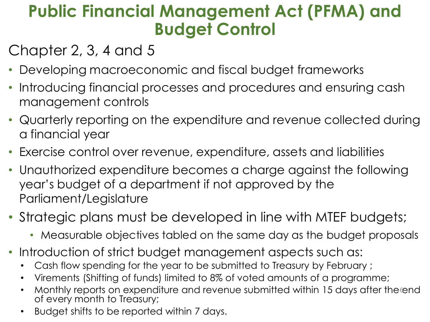### **Public Financial Management Act (PFMA) and Budget Control**

### Chapter 2, 3, 4 and 5

- Developing macroeconomic and fiscal budget frameworks
- Introducing financial processes and procedures and ensuring cash management controls
- Quarterly reporting on the expenditure and revenue collected during a financial year
- Exercise control over revenue, expenditure, assets and liabilities
- Unauthorized expenditure becomes a charge against the following year's budget of a department if not approved by the Parliament/Legislature
- Strategic plans must be developed in line with MTEF budgets;
	- Measurable objectives tabled on the same day as the budget proposals
- Introduction of strict budget management aspects such as:
	- Cash flow spending for the year to be submitted to Treasury by February ;
	- Virements (Shifting of funds) limited to 8% of voted amounts of a programme;
	- Monthly reports on expenditure and revenue submitted within 15 days after the end of every month to Treasury;
	- Budget shifts to be reported within 7 days.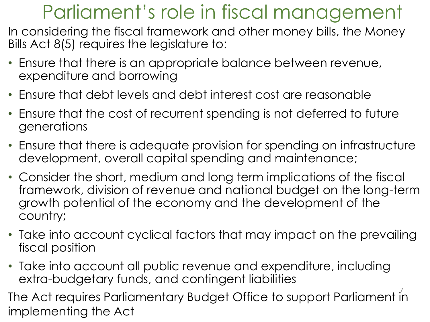### Parliament's role in fiscal management

In considering the fiscal framework and other money bills, the Money Bills Act 8(5) requires the legislature to:

- Ensure that there is an appropriate balance between revenue, expenditure and borrowing
- Ensure that debt levels and debt interest cost are reasonable
- Ensure that the cost of recurrent spending is not deferred to future generations
- Ensure that there is adequate provision for spending on infrastructure development, overall capital spending and maintenance;
- Consider the short, medium and long term implications of the fiscal framework, division of revenue and national budget on the long-term growth potential of the economy and the development of the country;
- Take into account cyclical factors that may impact on the prevailing fiscal position
- Take into account all public revenue and expenditure, including extra-budgetary funds, and contingent liabilities

The Act requires Parliamentary Budget Office to support Parliament  $\bar{i}$ n implementing the Act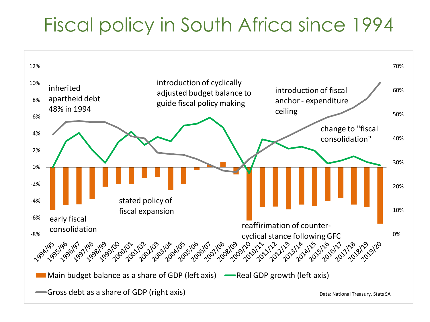### Fiscal policy in South Africa since 1994

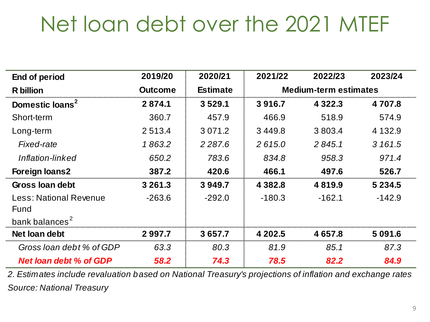# Net loan debt over the 2021 MTEF

| End of period                 | 2019/20        | 2020/21         | 2021/22                      | 2022/23     | 2023/24    |  |
|-------------------------------|----------------|-----------------|------------------------------|-------------|------------|--|
| <b>R</b> billion              | <b>Outcome</b> | <b>Estimate</b> | <b>Medium-term estimates</b> |             |            |  |
| Domestic loans <sup>2</sup>   | 2874.1         | 3529.1          | 3916.7                       | 4 3 2 2 . 3 | 4 707.8    |  |
| Short-term                    | 360.7          | 457.9           | 466.9                        | 518.9       | 574.9      |  |
| Long-term                     | 2 5 1 3 .4     | 3 0 7 1 .2      | 3449.8                       | 3 803.4     | 4 1 3 2 .9 |  |
| Fixed-rate                    | 1863.2         | 2 2 8 7.6       | 2615.0                       | 2 845.1     | 3 161.5    |  |
| Inflation-linked              | 650.2          | 783.6           | 834.8                        | 958.3       | 971.4      |  |
| <b>Foreign loans2</b>         | 387.2          | 420.6           | 466.1                        | 497.6       | 526.7      |  |
| Gross Ioan debt               | 3 2 6 1 . 3    | 3949.7          | 4 3 8 2.8                    | 4819.9      | 5 2 3 4 .5 |  |
| Less: National Revenue        | $-263.6$       | $-292.0$        | $-180.3$                     | $-162.1$    | $-142.9$   |  |
| Fund                          |                |                 |                              |             |            |  |
| bank balances <sup>2</sup>    |                |                 |                              |             |            |  |
| Net loan debt                 | 2 9 9 7.7      | 3 657.7         | 4 202.5                      | 4 657.8     | 5 0 9 1 .6 |  |
| Gross loan debt % of GDP      | 63.3           | 80.3            | 81.9                         | 85.1        | 87.3       |  |
| <b>Net loan debt % of GDP</b> | 58.2           | 74.3            | 78.5                         | 82.2        | 84.9       |  |

*2. Estimates include revaluation based on National Treasury's projections of inflation and exchange rates Source: National Treasury*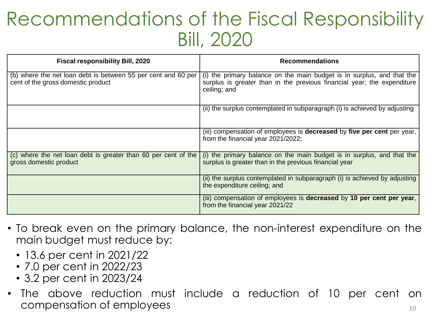### Recommendations of the Fiscal Responsibility Bill, 2020

| <b>Fiscal responsibility Bill, 2020</b>                                                             | <b>Recommendations</b>                                                                                                                                            |
|-----------------------------------------------------------------------------------------------------|-------------------------------------------------------------------------------------------------------------------------------------------------------------------|
| (b) where the net loan debt is between 55 per cent and 60 per<br>cent of the gross domestic product | (i) the primary balance on the main budget is in surplus, and that the<br>surplus is greater than in the previous financial year; the expenditure<br>ceiling; and |
|                                                                                                     | (ii) the surplus contemplated in subparagraph (i) is achieved by adjusting                                                                                        |
|                                                                                                     | (iii) compensation of employees is decreased by five per cent per year,<br>from the financial year 2021/2022;                                                     |
| (c) where the net loan debt is greater than 60 per cent of the<br>gross domestic product            | (i) the primary balance on the main budget is in surplus, and that the<br>surplus is greater than in the previous financial year                                  |
|                                                                                                     | (ii) the surplus contemplated in subparagraph (i) is achieved by adjusting<br>the expenditure ceiling; and                                                        |
|                                                                                                     | (iii) compensation of employees is decreased by 10 per cent per year,<br>from the financial year 2021/22                                                          |

- To break even on the primary balance, the non-interest expenditure on the main budget must reduce by:
	- 13.6 per cent in 2021/22
	- 7.0 per cent in 2022/23
	- 3.2 per cent in 2023/24
- The above reduction must include a reduction of 10 per cent on  $compensation of employees$   $10^{10}$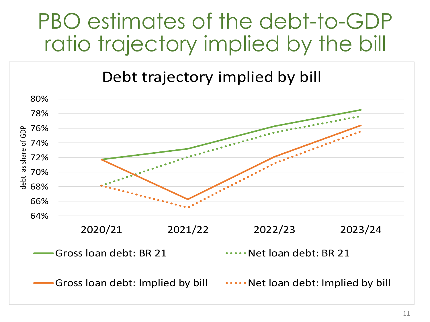# PBO estimates of the debt-to-GDP ratio trajectory implied by the bill

Debt trajectory implied by bill

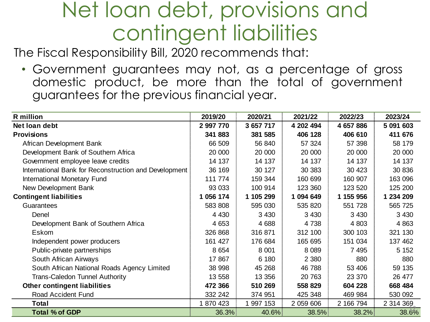## Net loan debt, provisions and contingent liabilities

The Fiscal Responsibility Bill, 2020 recommends that:

• Government guarantees may not, as a percentage of gross domestic product, be more than the total of government guarantees for the previous financial year.

| <b>R</b> million                                      | 2019/20   | 2020/21   | 2021/22   | 2022/23   | 2023/24   |
|-------------------------------------------------------|-----------|-----------|-----------|-----------|-----------|
| Net loan debt                                         | 2 997 770 | 3 657 717 | 4 202 494 | 4 657 886 | 5 091 603 |
| <b>Provisions</b>                                     | 341 883   | 381 585   | 406 128   | 406 610   | 411 676   |
| African Development Bank                              | 66 509    | 56 840    | 57 324    | 57 398    | 58 179    |
| Development Bank of Southern Africa                   | 20 000    | 20 000    | 20 000    | 20 000    | 20 000    |
| Government employee leave credits                     | 14 137    | 14 137    | 14 137    | 14 137    | 14 137    |
| International Bank for Reconstruction and Development | 36 169    | 30 127    | 30 383    | 30 4 23   | 30 836    |
| International Monetary Fund                           | 111 774   | 159 344   | 160 699   | 160 907   | 163 096   |
| New Development Bank                                  | 93 033    | 100 914   | 123 360   | 123 520   | 125 200   |
| <b>Contingent liabilities</b>                         | 1 056 174 | 1 105 299 | 1 094 649 | 1 155 956 | 1 234 209 |
| Guarantees                                            | 583 808   | 595 030   | 535 820   | 551 728   | 565 725   |
| Denel                                                 | 4 4 3 0   | 3 4 3 0   | 3 4 3 0   | 3 4 3 0   | 3 4 3 0   |
| Development Bank of Southern Africa                   | 4 6 5 3   | 4 6 8 8   | 4738      | 4 8 0 3   | 4 8 6 3   |
| Eskom                                                 | 326 868   | 316 871   | 312 100   | 300 103   | 321 130   |
| Independent power producers                           | 161 427   | 176 684   | 165 695   | 151 034   | 137 462   |
| Public-private partnerships                           | 8 6 5 4   | 8 0 0 1   | 8 0 8 9   | 7 4 9 5   | 5 1 5 2   |
| South African Airways                                 | 17867     | 6 180     | 2 3 8 0   | 880       | 880       |
| South African National Roads Agency Limited           | 38 998    | 45 268    | 46 788    | 53 406    | 59 135    |
| <b>Trans-Caledon Tunnel Authority</b>                 | 13 558    | 13 356    | 20 763    | 23 370    | 26 477    |
| <b>Other contingent liabilities</b>                   | 472 366   | 510 269   | 558 829   | 604 228   | 668 484   |
| Road Accident Fund                                    | 332 242   | 374 951   | 425 348   | 469 984   | 530 092   |
| <b>Total</b>                                          | 1 870 423 | 1 997 153 | 2 059 606 | 2 166 794 | 2 314 369 |
| <b>Total % of GDP</b>                                 | 36.3%     | 40.6%     | 38.5%     | 38.2%     | 38.6%     |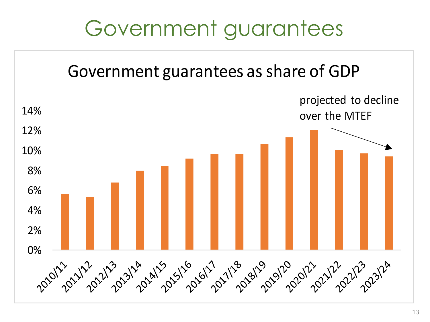# Government guarantees

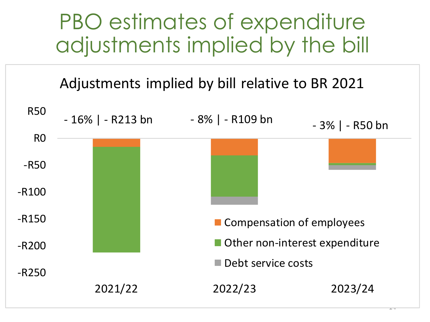## PBO estimates of expenditure adjustments implied by the bill

### Adjustments implied by bill relative to BR 2021

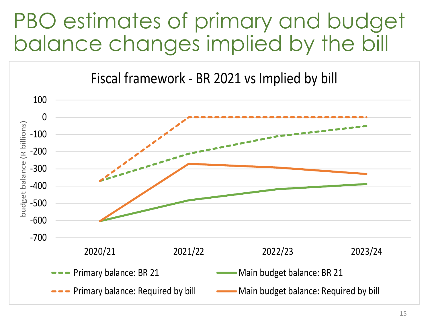# PBO estimates of primary and budget balance changes implied by the bill

Fiscal framework - BR 2021 vs Implied by bill

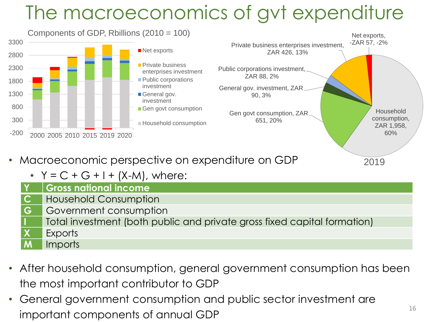## The macroeconomics of gvt expenditure



- Macroeconomic perspective on expenditure on GDP
	- $Y = C + G + I + (X-M)$ , where:

|           | $\mathsf{Y}$ $\mathsf{Gross}$ national income                            |
|-----------|--------------------------------------------------------------------------|
|           | <b>C</b> Household Consumption                                           |
| <b>IG</b> | Government consumption                                                   |
|           | Total investment (both public and private gross fixed capital formation) |
|           |                                                                          |

- Exports
- **M** Imports
- After household consumption, general government consumption has been the most important contributor to GDP
- General government consumption and public sector investment are important components of annual GDP

2019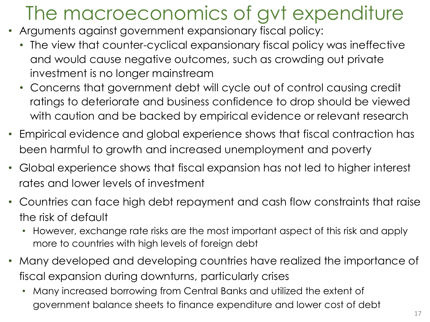## The macroeconomics of gvt expenditure

- Arguments against government expansionary fiscal policy:
	- The view that counter-cyclical expansionary fiscal policy was ineffective and would cause negative outcomes, such as crowding out private investment is no longer mainstream
	- Concerns that government debt will cycle out of control causing credit ratings to deteriorate and business confidence to drop should be viewed with caution and be backed by empirical evidence or relevant research
- Empirical evidence and global experience shows that fiscal contraction has been harmful to growth and increased unemployment and poverty
- Global experience shows that fiscal expansion has not led to higher interest rates and lower levels of investment
- Countries can face high debt repayment and cash flow constraints that raise the risk of default
	- However, exchange rate risks are the most important aspect of this risk and apply more to countries with high levels of foreign debt
- Many developed and developing countries have realized the importance of fiscal expansion during downturns, particularly crises
	- Many increased borrowing from Central Banks and utilized the extent of government balance sheets to finance expenditure and lower cost of debt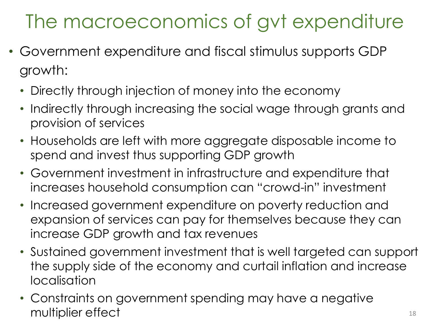### The macroeconomics of gvt expenditure

- Government expenditure and fiscal stimulus supports GDP growth:
	- Directly through injection of money into the economy
	- Indirectly through increasing the social wage through grants and provision of services
	- Households are left with more aggregate disposable income to spend and invest thus supporting GDP growth
	- Government investment in infrastructure and expenditure that increases household consumption can "crowd-in" investment
	- Increased government expenditure on poverty reduction and expansion of services can pay for themselves because they can increase GDP growth and tax revenues
	- Sustained government investment that is well targeted can support the supply side of the economy and curtail inflation and increase localisation
	- Constraints on government spending may have a negative multiplier effect and the state of the state  $\frac{18}{18}$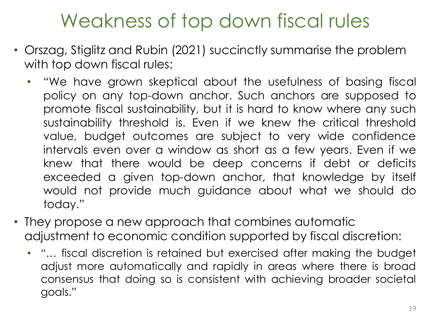### Weakness of top down fiscal rules

- Orszag, Stiglitz and Rubin (2021) succinctly summarise the problem with top down fiscal rules:
	- "We have grown skeptical about the usefulness of basing fiscal policy on any top-down anchor. Such anchors are supposed to promote fiscal sustainability, but it is hard to know where any such sustainability threshold is. Even if we knew the critical threshold value, budget outcomes are subject to very wide confidence intervals even over a window as short as a few years. Even if we knew that there would be deep concerns if debt or deficits exceeded a given top-down anchor, that knowledge by itself would not provide much guidance about what we should do today."
- They propose a new approach that combines automatic adjustment to economic condition supported by fiscal discretion:
	- "… fiscal discretion is retained but exercised after making the budget adjust more automatically and rapidly in areas where there is broad consensus that doing so is consistent with achieving broader societal goals."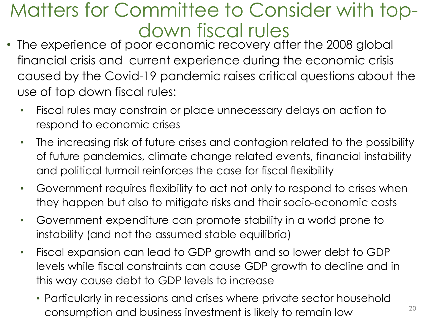### Matters for Committee to Consider with topdown fiscal rules

- The experience of poor economic recovery after the 2008 global financial crisis and current experience during the economic crisis caused by the Covid-19 pandemic raises critical questions about the use of top down fiscal rules:
	- Fiscal rules may constrain or place unnecessary delays on action to respond to economic crises
	- The increasing risk of future crises and contagion related to the possibility of future pandemics, climate change related events, financial instability and political turmoil reinforces the case for fiscal flexibility
	- Government requires flexibility to act not only to respond to crises when they happen but also to mitigate risks and their socio-economic costs
	- Government expenditure can promote stability in a world prone to instability (and not the assumed stable equilibria)
	- Fiscal expansion can lead to GDP growth and so lower debt to GDP levels while fiscal constraints can cause GDP growth to decline and in this way cause debt to GDP levels to increase
		- Particularly in recessions and crises where private sector household consumption and business investment is likely to remain low  $20$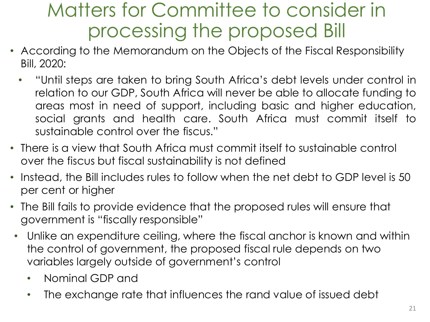### Matters for Committee to consider in processing the proposed Bill

- According to the Memorandum on the Objects of the Fiscal Responsibility Bill, 2020:
	- "Until steps are taken to bring South Africa's debt levels under control in relation to our GDP, South Africa will never be able to allocate funding to areas most in need of support, including basic and higher education, social grants and health care. South Africa must commit itself to sustainable control over the fiscus."
- There is a view that South Africa must commit itself to sustainable control over the fiscus but fiscal sustainability is not defined
- Instead, the Bill includes rules to follow when the net debt to GDP level is 50 per cent or higher
- The Bill fails to provide evidence that the proposed rules will ensure that government is "fiscally responsible"
- Unlike an expenditure ceiling, where the fiscal anchor is known and within the control of government, the proposed fiscal rule depends on two variables largely outside of government's control
	- Nominal GDP and
	- The exchange rate that influences the rand value of issued debt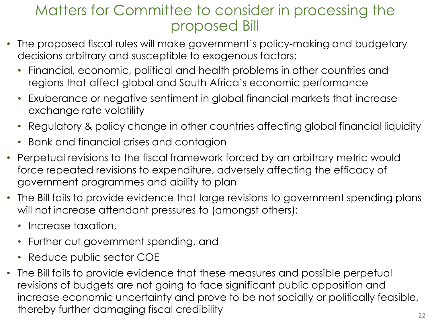### Matters for Committee to consider in processing the proposed Bill

- The proposed fiscal rules will make government's policy-making and budgetary decisions arbitrary and susceptible to exogenous factors:
	- Financial, economic, political and health problems in other countries and regions that affect global and South Africa's economic performance
	- Exuberance or negative sentiment in global financial markets that increase exchange rate volatility
	- Regulatory & policy change in other countries affecting global financial liquidity
	- Bank and financial crises and contagion
- Perpetual revisions to the fiscal framework forced by an arbitrary metric would force repeated revisions to expenditure, adversely affecting the efficacy of government programmes and ability to plan
- The Bill fails to provide evidence that large revisions to government spending plans will not increase attendant pressures to (amongst others):
	- Increase taxation,
	- Further cut government spending, and
	- Reduce public sector COE
- The Bill fails to provide evidence that these measures and possible perpetual revisions of budgets are not going to face significant public opposition and increase economic uncertainty and prove to be not socially or politically feasible, thereby further damaging fiscal credibility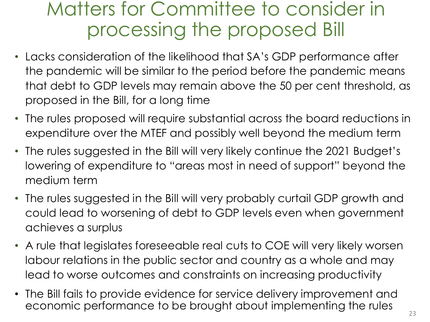### Matters for Committee to consider in processing the proposed Bill

- Lacks consideration of the likelihood that SA's GDP performance after the pandemic will be similar to the period before the pandemic means that debt to GDP levels may remain above the 50 per cent threshold, as proposed in the Bill, for a long time
- The rules proposed will require substantial across the board reductions in expenditure over the MTEF and possibly well beyond the medium term
- The rules suggested in the Bill will very likely continue the 2021 Budget's lowering of expenditure to "areas most in need of support" beyond the medium term
- The rules suggested in the Bill will very probably curtail GDP growth and could lead to worsening of debt to GDP levels even when government achieves a surplus
- A rule that legislates foreseeable real cuts to COE will very likely worsen labour relations in the public sector and country as a whole and may lead to worse outcomes and constraints on increasing productivity
- The Bill fails to provide evidence for service delivery improvement and economic performance to be brought about implementing the rules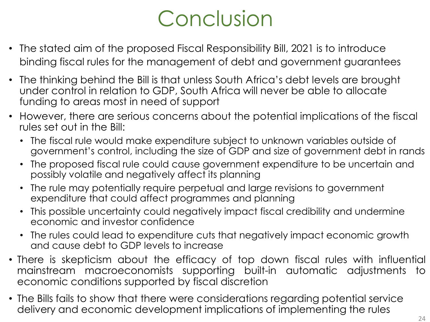# Conclusion

- The stated aim of the proposed Fiscal Responsibility Bill, 2021 is to introduce binding fiscal rules for the management of debt and government guarantees
- The thinking behind the Bill is that unless South Africa's debt levels are brought under control in relation to GDP, South Africa will never be able to allocate funding to areas most in need of support
- However, there are serious concerns about the potential implications of the fiscal rules set out in the Bill:
	- The fiscal rule would make expenditure subject to unknown variables outside of government's control, including the size of GDP and size of government debt in rands
	- The proposed fiscal rule could cause government expenditure to be uncertain and possibly volatile and negatively affect its planning
	- The rule may potentially require perpetual and large revisions to government expenditure that could affect programmes and planning
	- This possible uncertainty could negatively impact fiscal credibility and undermine economic and investor confidence
	- The rules could lead to expenditure cuts that negatively impact economic growth and cause debt to GDP levels to increase
- There is skepticism about the efficacy of top down fiscal rules with influential mainstream macroeconomists supporting built-in automatic adjustments to economic conditions supported by fiscal discretion
- The Bills fails to show that there were considerations regarding potential service delivery and economic development implications of implementing the rules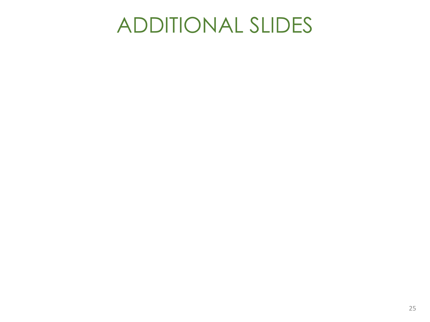## ADDITIONAL SLIDES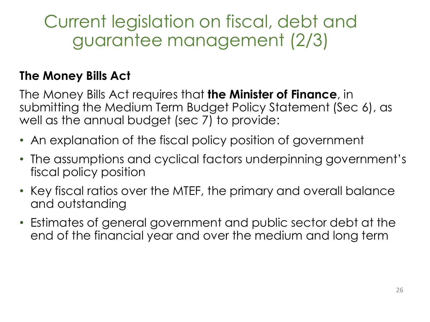Current legislation on fiscal, debt and guarantee management (2/3)

#### **The Money Bills Act**

The Money Bills Act requires that **the Minister of Finance**, in submitting the Medium Term Budget Policy Statement (Sec 6), as well as the annual budget (sec 7) to provide:

- An explanation of the fiscal policy position of government
- The assumptions and cyclical factors underpinning government's fiscal policy position
- Key fiscal ratios over the MTEF, the primary and overall balance and outstanding
- Estimates of general government and public sector debt at the end of the financial year and over the medium and long term